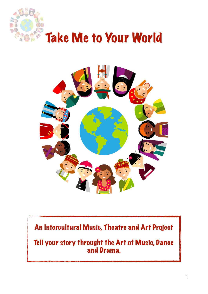



### An Intercultural Music, Theatre and Art Project

Tell your story throught the Art of Music, Dance and Drama.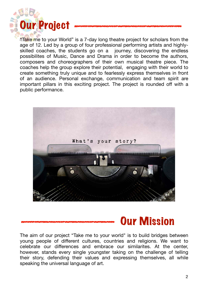

"Take me to your World" is a 7-day long theatre project for scholars from the age of 12. Led by a group of four professional performing artists and highlyskilled coaches, the students go on a journey, discovering the endless possibilites of Music, Dance and Drama in order to become the authors, composers and choreographers of their own musical theatre piece. The coaches help the group explore their potential, engaging with their world to create something truly unique and to fearlessly express themselves in front of an audience. Personal exchange, communication and team spirit are important pillars in this exciting project. The project is rounded off with a public performance.



# Our Mission

The aim of our project "Take me to your world" is to build bridges between young people of different cultures, countries and religions. We want to celebrate our differences and embrace our similarites. At the center, however, stands every single youngster taking on the challenge of telling their story, defending their values and expressing themselves, all while speaking the universal language of art.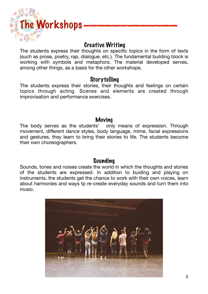

#### Creative Writing

The students express their thoughts on specific topics in the form of texts (such as prose, poetry, rap, dialogue, etc.). The fundamental building block is working with symbols and metaphors. The material developed serves, among other things, as a basis for the other workshops.

#### Storytelling

The students express their stories, their thoughts and feelings on certain topics through acting. Scenes and elements are created through improvisation and performance exercises.

#### Moving

The body serves as the students' only means of expression. Through movement, different dance styles, body language, mime, facial expressions and gestures, they learn to bring their stories to life. The students become their own choreographers.

#### Sounding

Sounds, tones and noises create the world in which the thoughts and stories of the students are expressed. In addition to buiding and playing on instruments, the students get the chance to work with their own voices, learn about harmonies and ways tp re-create everyday sounds and turn them into music.

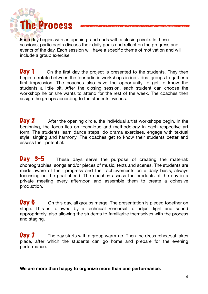

Each day begins with an opening- and ends with a closing circle. In these sessions, participants discuss their daily goals and reflect on the progress and events of the day. Each session will have a specific theme of motivation and will include a group exercise.

**Day 1** On the first day the project is presented to the students. They then begin to rotate between the four artistic workshops in individual groups to gather a first impression. The coaches also have the opportunity to get to know the students a little bit. After the closing session, each student can choose the workshop he or she wants to attend for the rest of the week. The coaches then assign the groups according to the students' wishes.

**Day 2** After the opening circle, the individual artist workshops begin. In the beginning, the focus lies on technique and methodology in each respective art form. The students learn dance steps, do drama exercises, engage with textual style, singing and harmony. The coaches get to know their students better and assess their potential.

Day 3-5 These days serve the purpose of creating the material: choreographies, songs and/or pieces of music, texts and scenes. The students are made aware of their progress and their achievements on a daily basis, always focussing on the goal ahead. The coaches assess the products of the day in a private meeting every afternoon and assemble them to create a cohesive production.

**Day 6** On this day, all groups merge. The presentation is pieced together on stage. This is followed by a technical rehearsal to adjust light and sound appropriately, also allowing the students to familiarize themselves with the process and staging.

**Day**  $\overline{7}$  The day starts with a group warm-up. Then the dress rehearsal takes place, after which the students can go home and prepare for the evening performance.

**We are more than happy to organize more than one performance.**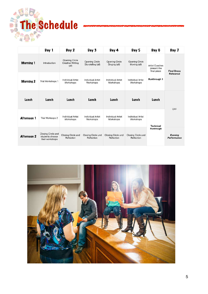# The Schedule

**AHR** 

|                  | Day 1                                                    | Day 2                                                     | Day 3                                       | Day 4                                  | Day 5                                 | Day 6                                                               | Day 7                           |
|------------------|----------------------------------------------------------|-----------------------------------------------------------|---------------------------------------------|----------------------------------------|---------------------------------------|---------------------------------------------------------------------|---------------------------------|
| <b>Morning 1</b> | Introduction                                             | <b>Opening Circle</b><br><b>Creative Writing</b><br>(all) | <b>Opening Circle</b><br>Storytelling (all) | <b>Opening Circle</b><br>Singing (all) | <b>Opening Circle</b><br>Moving (all) | <b>Artist Coaches</b><br>present the<br>final piece<br>Runthrough 1 | <b>Final Dress</b><br>Rehearsal |
| <b>Morning 2</b> | Trial Workshops 1                                        | <b>Individual Artist</b><br>Workshops                     | <b>Individual Artist</b><br>Workshops       | <b>Individual Artist</b><br>Workshops  | <b>Individual Artist</b><br>Workshops |                                                                     |                                 |
| Lunch            | Lunch                                                    | Lunch                                                     | Lunch                                       | Lunch                                  | Lunch                                 | Lunch                                                               | OFF                             |
| Afternoon 1      | Trial Worksops 2                                         | <b>Individual Artist</b><br>Workshops                     | <b>Individual Artist</b><br>Workshops       | <b>Individual Artist</b><br>Workshops  | <b>Individual Artist</b><br>Workshops | <b>Technical</b><br>Runtrough                                       |                                 |
| Afternoon 2      | Closing Circle and<br>students choose<br>their workshops | Closing Circle and<br>Reflection                          | Closing Circle und<br>Reflection            | Closing Circle und<br>Reflection       | Closing Circle und<br>Reflection      |                                                                     | Evening<br>Performance          |

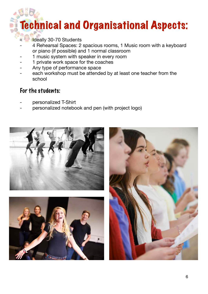# Technical and Organisational Aspects:

- Ideally 30-70 Students
- 4 Rehearsal Spaces: 2 spacious rooms, 1 Music room with a keyboard or piano (if possible) and 1 normal classroom
- 1 music system with speaker in every room
- 1 private work space for the coaches
- Any type of performance space
- each workshop must be attended by at least one teacher from the school

#### For the students:

- personalized T-Shirt
- personalized notebook and pen (with project logo)





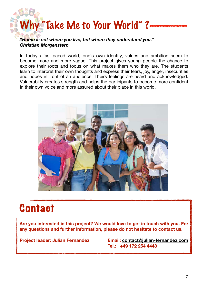

#### *Christian Morgenstern*

In today's fast-paced world, one's own identity, values and ambition seem to become more and more vague. This project gives young people the chance to explore their roots and focus on what makes them who they are. The students learn to interpret their own thoughts and express their fears, joy, anger, insecurities and hopes in front of an audience. Theirs feelings are heard and acknowledged. Vulnerabilty creates strength and helps the participants to become more confident in their own voice and more assured about their place in this world.



# **Contact**

**Are you interested in this project? We would love to get in touch with you. For any questions and further information, please do not hesitate to contact us.** 

**Project leader: Julian Fernandez Email: [contact@julian-fernandez.com](mailto:contact@julian-fernandez.com) Tel.: +49 172 254 4448**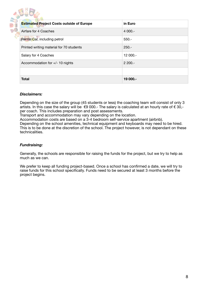| <b>Estimated Project Costs outside of Europe</b> | in Euro   |
|--------------------------------------------------|-----------|
| Airfare for 4 Coaches                            | $4000 -$  |
| Rental Car, including petrol                     | $550 -$   |
| Printed writing material for 70 students         | $250 -$   |
| Salary for 4 Coaches                             | 12 000 .- |
| Accommodation for $+/- 10$ nights                | $2200 -$  |
|                                                  |           |
| <b>Total</b>                                     | 19 000 .- |

#### *Disclaimers:*

Depending on the size of the group (45 students or less) the coaching team will consist of only 3 artists. In this case the salary will be  $\epsilon$ 9 000.- The salary is calculated at an hourly rate of  $\epsilon$  30.per coach. This includes preparation and post assessments.

Transport and accommodation may vary depending on the location.

Accommodation costs are based on a 3-4 bedroom self-service apartment (airbnb).

Depending on the school amenities, technical equipment and keyboards may need to be hired. This is to be done at the discretion of the school. The project however, is not dependant on these technicalities.

#### *Fundraising:*

Generally, the schools are responsible for raising the funds for the project, but we try to help as much as we can.

We prefer to keep all funding project-based. Once a school has confirmed a date, we will try to raise funds for this school specifically. Funds need to be secured at least 3 months before the project begins.